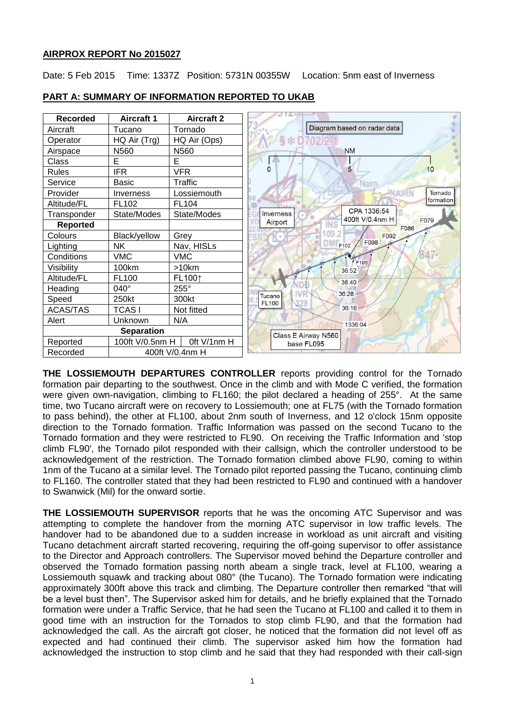## **AIRPROX REPORT No 2015027**

Date: 5 Feb 2015 Time: 1337Z Position: 5731N 00355W Location: 5nm east of Inverness

| <b>Recorded</b>   | <b>Aircraft 1</b>              | <b>Aircraft 2</b> |                                                     |
|-------------------|--------------------------------|-------------------|-----------------------------------------------------|
| Aircraft          | Tucano                         | Tornado           | Diagram based on radar data                         |
| Operator          | HQ Air (Trg)                   | HQ Air (Ops)      | $\S * I$                                            |
| Airspace          | N560                           | N560              | <b>NM</b>                                           |
| Class             | E                              | E                 |                                                     |
| <b>Rules</b>      | <b>IFR</b>                     | <b>VFR</b>        | $\Omega$<br>5<br>10                                 |
| Service           | <b>Basic</b>                   | Traffic           | Nairr                                               |
| Provider          | Inverness                      | Lossiemouth       | <b>INAIRN</b><br>Tornado                            |
| Altitude/FL       | FL102                          | FL104             | formation                                           |
| Transponder       | State/Modes                    | State/Modes       | CPA 1336:54<br>Inverness<br>400ft V/0.4nm H<br>F079 |
| <b>Reported</b>   |                                |                   | Airport<br>INS<br>F086                              |
| Colours           | Black/yellow                   | Grey              | 09.2<br>F092                                        |
| Lighting          | <b>NK</b>                      | Nav, HISLs        | F098<br>F102                                        |
| Conditions        | <b>VMC</b>                     | <b>VMC</b>        | 847.<br>F105                                        |
| Visibility        | 100km                          | >10km             | 36:52                                               |
| Altitude/FL       | <b>FL100</b>                   | FL1001            | 36:40                                               |
| Heading           | 040°                           | 255°              | 36:28                                               |
| Speed             | 250kt                          | 300kt             | Tucano<br><b>FL100</b>                              |
| <b>ACAS/TAS</b>   | <b>TCASI</b>                   | Not fitted        | $36:16 -$                                           |
| Alert             | Unknown                        | N/A               | 1336:04                                             |
| <b>Separation</b> |                                |                   | Class E Airway N560                                 |
| Reported          | Oft V/1nm H<br>100ft V/0.5nm H |                   | base FL095                                          |
| Recorded          |                                | 400ft V/0.4nm H   |                                                     |

## **PART A: SUMMARY OF INFORMATION REPORTED TO UKAB**

**THE LOSSIEMOUTH DEPARTURES CONTROLLER** reports providing control for the Tornado formation pair departing to the southwest. Once in the climb and with Mode C verified, the formation were given own-navigation, climbing to FL160; the pilot declared a heading of 255°. At the same time, two Tucano aircraft were on recovery to Lossiemouth; one at FL75 (with the Tornado formation to pass behind), the other at FL100, about 2nm south of Inverness, and 12 o'clock 15nm opposite direction to the Tornado formation. Traffic Information was passed on the second Tucano to the Tornado formation and they were restricted to FL90. On receiving the Traffic Information and 'stop climb FL90', the Tornado pilot responded with their callsign, which the controller understood to be acknowledgement of the restriction. The Tornado formation climbed above FL90, coming to within 1nm of the Tucano at a similar level. The Tornado pilot reported passing the Tucano, continuing climb to FL160. The controller stated that they had been restricted to FL90 and continued with a handover to Swanwick (Mil) for the onward sortie.

**THE LOSSIEMOUTH SUPERVISOR** reports that he was the oncoming ATC Supervisor and was attempting to complete the handover from the morning ATC supervisor in low traffic levels. The handover had to be abandoned due to a sudden increase in workload as unit aircraft and visiting Tucano detachment aircraft started recovering, requiring the off-going supervisor to offer assistance to the Director and Approach controllers. The Supervisor moved behind the Departure controller and observed the Tornado formation passing north abeam a single track, level at FL100, wearing a Lossiemouth squawk and tracking about 080° (the Tucano). The Tornado formation were indicating approximately 300ft above this track and climbing. The Departure controller then remarked "that will be a level bust then". The Supervisor asked him for details, and he briefly explained that the Tornado formation were under a Traffic Service, that he had seen the Tucano at FL100 and called it to them in good time with an instruction for the Tornados to stop climb FL90, and that the formation had acknowledged the call. As the aircraft got closer, he noticed that the formation did not level off as expected and had continued their climb. The supervisor asked him how the formation had acknowledged the instruction to stop climb and he said that they had responded with their call-sign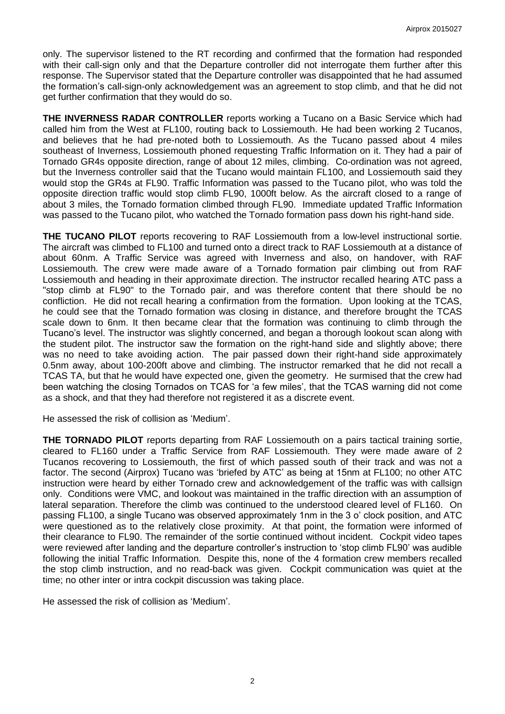only. The supervisor listened to the RT recording and confirmed that the formation had responded with their call-sign only and that the Departure controller did not interrogate them further after this response. The Supervisor stated that the Departure controller was disappointed that he had assumed the formation's call-sign-only acknowledgement was an agreement to stop climb, and that he did not get further confirmation that they would do so.

**THE INVERNESS RADAR CONTROLLER** reports working a Tucano on a Basic Service which had called him from the West at FL100, routing back to Lossiemouth. He had been working 2 Tucanos, and believes that he had pre-noted both to Lossiemouth. As the Tucano passed about 4 miles southeast of Inverness, Lossiemouth phoned requesting Traffic Information on it. They had a pair of Tornado GR4s opposite direction, range of about 12 miles, climbing. Co-ordination was not agreed, but the Inverness controller said that the Tucano would maintain FL100, and Lossiemouth said they would stop the GR4s at FL90. Traffic Information was passed to the Tucano pilot, who was told the opposite direction traffic would stop climb FL90, 1000ft below. As the aircraft closed to a range of about 3 miles, the Tornado formation climbed through FL90. Immediate updated Traffic Information was passed to the Tucano pilot, who watched the Tornado formation pass down his right-hand side.

**THE TUCANO PILOT** reports recovering to RAF Lossiemouth from a low-level instructional sortie. The aircraft was climbed to FL100 and turned onto a direct track to RAF Lossiemouth at a distance of about 60nm. A Traffic Service was agreed with Inverness and also, on handover, with RAF Lossiemouth. The crew were made aware of a Tornado formation pair climbing out from RAF Lossiemouth and heading in their approximate direction. The instructor recalled hearing ATC pass a "stop climb at FL90" to the Tornado pair, and was therefore content that there should be no confliction. He did not recall hearing a confirmation from the formation. Upon looking at the TCAS, he could see that the Tornado formation was closing in distance, and therefore brought the TCAS scale down to 6nm. It then became clear that the formation was continuing to climb through the Tucano's level. The instructor was slightly concerned, and began a thorough lookout scan along with the student pilot. The instructor saw the formation on the right-hand side and slightly above; there was no need to take avoiding action. The pair passed down their right-hand side approximately 0.5nm away, about 100-200ft above and climbing. The instructor remarked that he did not recall a TCAS TA, but that he would have expected one, given the geometry. He surmised that the crew had been watching the closing Tornados on TCAS for 'a few miles', that the TCAS warning did not come as a shock, and that they had therefore not registered it as a discrete event.

He assessed the risk of collision as 'Medium'.

**THE TORNADO PILOT** reports departing from RAF Lossiemouth on a pairs tactical training sortie, cleared to FL160 under a Traffic Service from RAF Lossiemouth. They were made aware of 2 Tucanos recovering to Lossiemouth, the first of which passed south of their track and was not a factor. The second (Airprox) Tucano was 'briefed by ATC' as being at 15nm at FL100; no other ATC instruction were heard by either Tornado crew and acknowledgement of the traffic was with callsign only. Conditions were VMC, and lookout was maintained in the traffic direction with an assumption of lateral separation. Therefore the climb was continued to the understood cleared level of FL160. On passing FL100, a single Tucano was observed approximately 1nm in the 3 o' clock position, and ATC were questioned as to the relatively close proximity. At that point, the formation were informed of their clearance to FL90. The remainder of the sortie continued without incident. Cockpit video tapes were reviewed after landing and the departure controller's instruction to 'stop climb FL90' was audible following the initial Traffic Information. Despite this, none of the 4 formation crew members recalled the stop climb instruction, and no read-back was given. Cockpit communication was quiet at the time; no other inter or intra cockpit discussion was taking place.

He assessed the risk of collision as 'Medium'.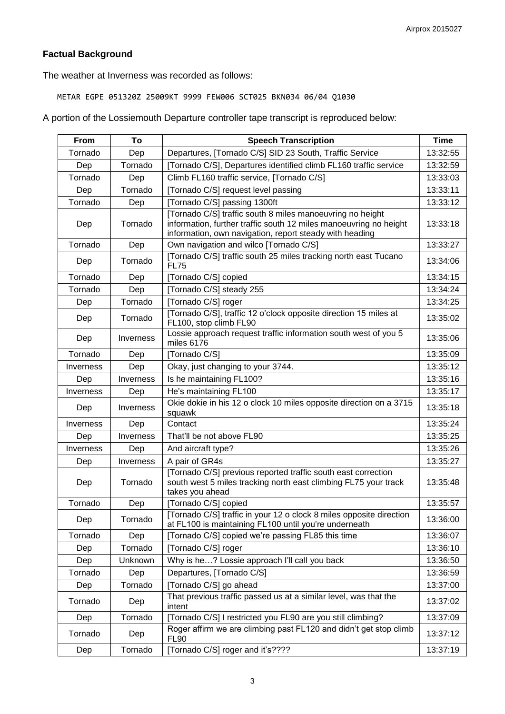# **Factual Background**

The weather at Inverness was recorded as follows:

METAR EGPE 051320Z 25009KT 9999 FEW006 SCT025 BKN034 06/04 Q1030

A portion of the Lossiemouth Departure controller tape transcript is reproduced below:

| <b>From</b> | To        | <b>Speech Transcription</b>                                                                                                                                                               | <b>Time</b> |
|-------------|-----------|-------------------------------------------------------------------------------------------------------------------------------------------------------------------------------------------|-------------|
| Tornado     | Dep       | Departures, [Tornado C/S] SID 23 South, Traffic Service                                                                                                                                   | 13:32:55    |
| Dep         | Tornado   | [Tornado C/S], Departures identified climb FL160 traffic service                                                                                                                          |             |
| Tornado     | Dep       | Climb FL160 traffic service, [Tornado C/S]                                                                                                                                                |             |
| Dep         | Tornado   | [Tornado C/S] request level passing                                                                                                                                                       | 13:33:11    |
| Tornado     | Dep       | [Tornado C/S] passing 1300ft                                                                                                                                                              | 13:33:12    |
| Dep         | Tornado   | [Tornado C/S] traffic south 8 miles manoeuvring no height<br>information, further traffic south 12 miles manoeuvring no height<br>information, own navigation, report steady with heading | 13:33:18    |
| Tornado     | Dep       | Own navigation and wilco [Tornado C/S]                                                                                                                                                    | 13:33:27    |
| Dep         | Tornado   | [Tornado C/S] traffic south 25 miles tracking north east Tucano<br><b>FL75</b>                                                                                                            | 13:34:06    |
| Tornado     | Dep       | [Tornado C/S] copied                                                                                                                                                                      | 13:34:15    |
| Tornado     | Dep       | [Tornado C/S] steady 255                                                                                                                                                                  | 13:34:24    |
| Dep         | Tornado   | [Tornado C/S] roger                                                                                                                                                                       | 13:34:25    |
| Dep         | Tornado   | [Tornado C/S], traffic 12 o'clock opposite direction 15 miles at<br>FL100, stop climb FL90                                                                                                | 13:35:02    |
| Dep         | Inverness | Lossie approach request traffic information south west of you 5<br>miles 6176                                                                                                             | 13:35:06    |
| Tornado     | Dep       | [Tornado C/S]                                                                                                                                                                             | 13:35:09    |
| Inverness   | Dep       | Okay, just changing to your 3744.                                                                                                                                                         | 13:35:12    |
| Dep         | Inverness | Is he maintaining FL100?                                                                                                                                                                  | 13:35:16    |
| Inverness   | Dep       | He's maintaining FL100                                                                                                                                                                    | 13:35:17    |
| Dep         | Inverness | Okie dokie in his 12 o clock 10 miles opposite direction on a 3715<br>squawk                                                                                                              | 13:35:18    |
| Inverness   | Dep       | Contact                                                                                                                                                                                   | 13:35:24    |
| Dep         | Inverness | That'll be not above FL90                                                                                                                                                                 | 13:35:25    |
| Inverness   | Dep       | And aircraft type?                                                                                                                                                                        | 13:35:26    |
| Dep         | Inverness | A pair of GR4s                                                                                                                                                                            | 13:35:27    |
| Dep         | Tornado   | [Tornado C/S] previous reported traffic south east correction<br>south west 5 miles tracking north east climbing FL75 your track<br>takes you ahead                                       | 13:35:48    |
| Tornado     | Dep       | [Tornado C/S] copied                                                                                                                                                                      | 13:35:57    |
| Dep         | Tornado   | [Tornado C/S] traffic in your 12 o clock 8 miles opposite direction<br>at FL100 is maintaining FL100 until you're underneath                                                              | 13:36:00    |
| Tornado     | Dep       | [Tornado C/S] copied we're passing FL85 this time                                                                                                                                         | 13:36:07    |
| Dep         | Tornado   | [Tornado C/S] roger                                                                                                                                                                       | 13:36:10    |
| Dep         | Unknown   | Why is he? Lossie approach I'll call you back                                                                                                                                             | 13:36:50    |
| Tornado     | Dep       | Departures, [Tornado C/S]                                                                                                                                                                 | 13:36:59    |
| Dep         | Tornado   | [Tornado C/S] go ahead                                                                                                                                                                    | 13:37:00    |
| Tornado     | Dep       | That previous traffic passed us at a similar level, was that the<br>intent                                                                                                                | 13:37:02    |
| Dep         | Tornado   | [Tornado C/S] I restricted you FL90 are you still climbing?                                                                                                                               | 13:37:09    |
| Tornado     | Dep       | Roger affirm we are climbing past FL120 and didn't get stop climb<br><b>FL90</b>                                                                                                          | 13:37:12    |
| Dep         | Tornado   | [Tornado C/S] roger and it's????                                                                                                                                                          | 13:37:19    |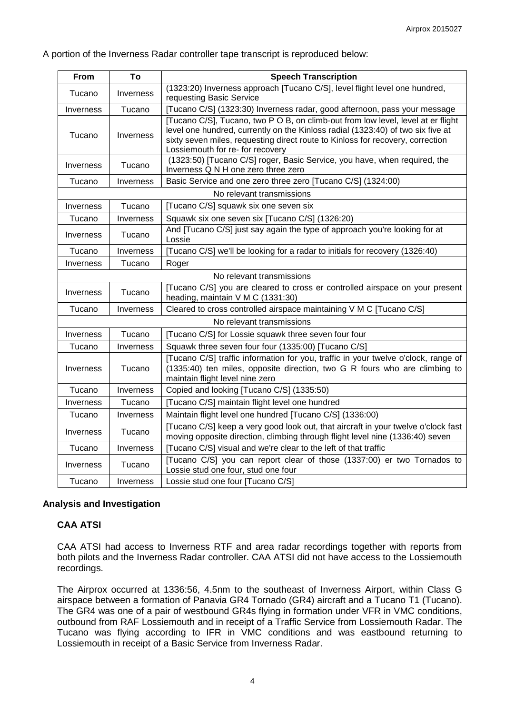#### A portion of the Inverness Radar controller tape transcript is reproduced below:

| From                      | To        | <b>Speech Transcription</b>                                                                                                                                                                                                                                                               |  |  |
|---------------------------|-----------|-------------------------------------------------------------------------------------------------------------------------------------------------------------------------------------------------------------------------------------------------------------------------------------------|--|--|
| Tucano                    | Inverness | (1323:20) Inverness approach [Tucano C/S], level flight level one hundred,<br>requesting Basic Service                                                                                                                                                                                    |  |  |
| Inverness                 | Tucano    | [Tucano C/S] (1323:30) Inverness radar, good afternoon, pass your message                                                                                                                                                                                                                 |  |  |
| Tucano                    | Inverness | [Tucano C/S], Tucano, two P O B, on climb-out from low level, level at er flight<br>level one hundred, currently on the Kinloss radial (1323:40) of two six five at<br>sixty seven miles, requesting direct route to Kinloss for recovery, correction<br>Lossiemouth for re- for recovery |  |  |
| Inverness                 | Tucano    | (1323:50) [Tucano C/S] roger, Basic Service, you have, when required, the<br>Inverness Q N H one zero three zero                                                                                                                                                                          |  |  |
| Tucano                    | Inverness | Basic Service and one zero three zero [Tucano C/S] (1324:00)                                                                                                                                                                                                                              |  |  |
| No relevant transmissions |           |                                                                                                                                                                                                                                                                                           |  |  |
| Inverness                 | Tucano    | [Tucano C/S] squawk six one seven six                                                                                                                                                                                                                                                     |  |  |
| Tucano                    | Inverness | Squawk six one seven six [Tucano C/S] (1326:20)                                                                                                                                                                                                                                           |  |  |
| Inverness                 | Tucano    | And [Tucano C/S] just say again the type of approach you're looking for at<br>Lossie                                                                                                                                                                                                      |  |  |
| Tucano                    | Inverness | [Tucano C/S] we'll be looking for a radar to initials for recovery (1326:40)                                                                                                                                                                                                              |  |  |
| Inverness                 | Tucano    | Roger                                                                                                                                                                                                                                                                                     |  |  |
|                           |           | No relevant transmissions                                                                                                                                                                                                                                                                 |  |  |
| <b>Inverness</b>          | Tucano    | [Tucano C/S] you are cleared to cross er controlled airspace on your present<br>heading, maintain V M C (1331:30)                                                                                                                                                                         |  |  |
| Tucano                    | Inverness | Cleared to cross controlled airspace maintaining V M C [Tucano C/S]                                                                                                                                                                                                                       |  |  |
|                           |           | No relevant transmissions                                                                                                                                                                                                                                                                 |  |  |
| Inverness                 | Tucano    | [Tucano C/S] for Lossie squawk three seven four four                                                                                                                                                                                                                                      |  |  |
| Tucano                    | Inverness | Squawk three seven four four (1335:00) [Tucano C/S]                                                                                                                                                                                                                                       |  |  |
| Inverness                 | Tucano    | [Tucano C/S] traffic information for you, traffic in your twelve o'clock, range of<br>(1335:40) ten miles, opposite direction, two G R fours who are climbing to<br>maintain flight level nine zero                                                                                       |  |  |
| Tucano                    | Inverness | Copied and looking [Tucano C/S] (1335:50)                                                                                                                                                                                                                                                 |  |  |
| Inverness                 | Tucano    | [Tucano C/S] maintain flight level one hundred                                                                                                                                                                                                                                            |  |  |
| Tucano                    | Inverness | Maintain flight level one hundred [Tucano C/S] (1336:00)                                                                                                                                                                                                                                  |  |  |
| Inverness                 | Tucano    | [Tucano C/S] keep a very good look out, that aircraft in your twelve o'clock fast<br>moving opposite direction, climbing through flight level nine (1336:40) seven                                                                                                                        |  |  |
| Tucano                    | Inverness | [Tucano C/S] visual and we're clear to the left of that traffic                                                                                                                                                                                                                           |  |  |
| Inverness                 | Tucano    | [Tucano C/S] you can report clear of those (1337:00) er two Tornados to<br>Lossie stud one four, stud one four                                                                                                                                                                            |  |  |
| Tucano                    | Inverness | Lossie stud one four [Tucano C/S]                                                                                                                                                                                                                                                         |  |  |

## **Analysis and Investigation**

## **CAA ATSI**

CAA ATSI had access to Inverness RTF and area radar recordings together with reports from both pilots and the Inverness Radar controller. CAA ATSI did not have access to the Lossiemouth recordings.

The Airprox occurred at 1336:56, 4.5nm to the southeast of Inverness Airport, within Class G airspace between a formation of Panavia GR4 Tornado (GR4) aircraft and a Tucano T1 (Tucano). The GR4 was one of a pair of westbound GR4s flying in formation under VFR in VMC conditions, outbound from RAF Lossiemouth and in receipt of a Traffic Service from Lossiemouth Radar. The Tucano was flying according to IFR in VMC conditions and was eastbound returning to Lossiemouth in receipt of a Basic Service from Inverness Radar.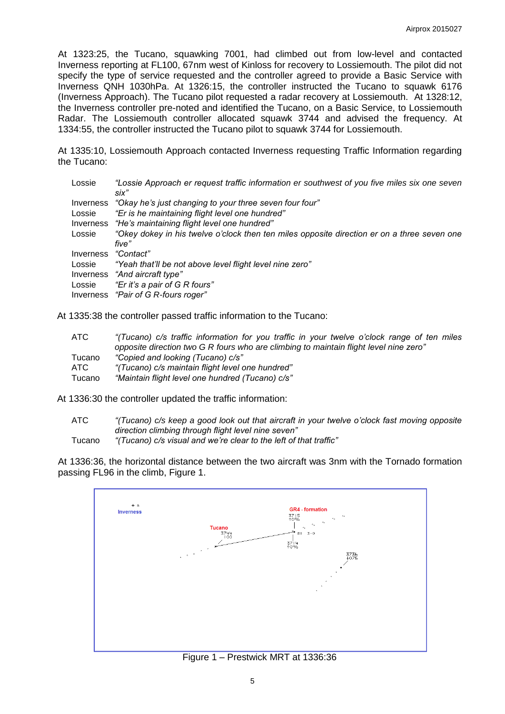At 1323:25, the Tucano, squawking 7001, had climbed out from low-level and contacted Inverness reporting at FL100, 67nm west of Kinloss for recovery to Lossiemouth. The pilot did not specify the type of service requested and the controller agreed to provide a Basic Service with Inverness QNH 1030hPa. At 1326:15, the controller instructed the Tucano to squawk 6176 (Inverness Approach). The Tucano pilot requested a radar recovery at Lossiemouth. At 1328:12, the Inverness controller pre-noted and identified the Tucano, on a Basic Service, to Lossiemouth Radar. The Lossiemouth controller allocated squawk 3744 and advised the frequency. At 1334:55, the controller instructed the Tucano pilot to squawk 3744 for Lossiemouth.

At 1335:10, Lossiemouth Approach contacted Inverness requesting Traffic Information regarding the Tucano:

| Lossie    | "Lossie Approach er request traffic information er southwest of you five miles six one seven |
|-----------|----------------------------------------------------------------------------------------------|
|           | six"                                                                                         |
| Inverness | "Okay he's just changing to your three seven four four"                                      |
| Lossie    | "Er is he maintaining flight level one hundred"                                              |
| Inverness | "He's maintaining flight level one hundred"                                                  |
| Lossie    | "Okey dokey in his twelve o'clock then ten miles opposite direction er on a three seven one  |
|           | five"                                                                                        |
| Inverness | "Contact"                                                                                    |
| Lossie    | "Yeah that'll be not above level flight level nine zero"                                     |
|           | Inverness "And aircraft type"                                                                |
| Lossie    | "Er it's a pair of G R fours"                                                                |
|           | Inverness "Pair of G R-fours roger"                                                          |

At 1335:38 the controller passed traffic information to the Tucano:

| ATC-   | "(Tucano) c/s traffic information for you traffic in your twelve o'clock range of ten miles |
|--------|---------------------------------------------------------------------------------------------|
|        | opposite direction two G R fours who are climbing to maintain flight level nine zero"       |
| Tucano | "Copied and looking (Tucano) c/s"                                                           |
| ATC    | "(Tucano) c/s maintain flight level one hundred"                                            |
| Tucano | "Maintain flight level one hundred (Tucano) c/s"                                            |

At 1336:30 the controller updated the traffic information:

ATC *"(Tucano) c/s keep a good look out that aircraft in your twelve o'clock fast moving opposite direction climbing through flight level nine seven"*

Tucano *"(Tucano) c/s visual and we're clear to the left of that traffic"*

At 1336:36, the horizontal distance between the two aircraft was 3nm with the Tornado formation passing FL96 in the climb, Figure 1.



Figure 1 – Prestwick MRT at 1336:36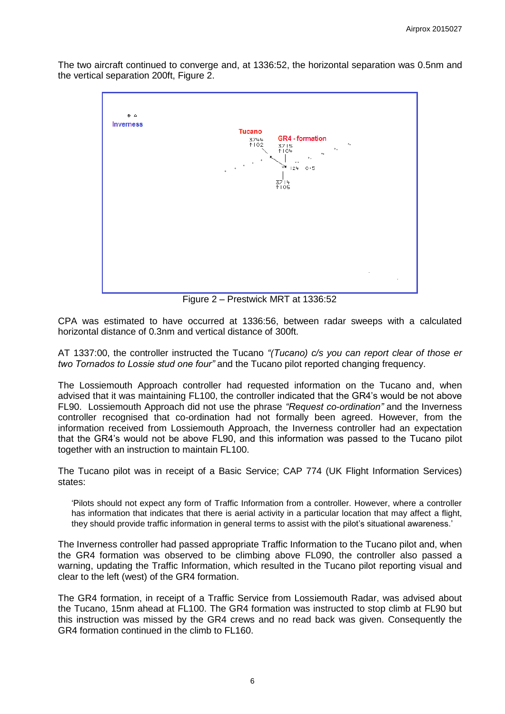The two aircraft continued to converge and, at 1336:52, the horizontal separation was 0.5nm and the vertical separation 200ft, Figure 2.



Figure 2 – Prestwick MRT at 1336:52

CPA was estimated to have occurred at 1336:56, between radar sweeps with a calculated horizontal distance of 0.3nm and vertical distance of 300ft.

AT 1337:00, the controller instructed the Tucano *"(Tucano) c/s you can report clear of those er two Tornados to Lossie stud one four"* and the Tucano pilot reported changing frequency.

The Lossiemouth Approach controller had requested information on the Tucano and, when advised that it was maintaining FL100, the controller indicated that the GR4's would be not above FL90. Lossiemouth Approach did not use the phrase *"Request co-ordination"* and the Inverness controller recognised that co-ordination had not formally been agreed. However, from the information received from Lossiemouth Approach, the Inverness controller had an expectation that the GR4's would not be above FL90, and this information was passed to the Tucano pilot together with an instruction to maintain FL100.

The Tucano pilot was in receipt of a Basic Service; CAP 774 (UK Flight Information Services) states:

'Pilots should not expect any form of Traffic Information from a controller. However, where a controller has information that indicates that there is aerial activity in a particular location that may affect a flight, they should provide traffic information in general terms to assist with the pilot's situational awareness.'

The Inverness controller had passed appropriate Traffic Information to the Tucano pilot and, when the GR4 formation was observed to be climbing above FL090, the controller also passed a warning, updating the Traffic Information, which resulted in the Tucano pilot reporting visual and clear to the left (west) of the GR4 formation.

The GR4 formation, in receipt of a Traffic Service from Lossiemouth Radar, was advised about the Tucano, 15nm ahead at FL100. The GR4 formation was instructed to stop climb at FL90 but this instruction was missed by the GR4 crews and no read back was given. Consequently the GR4 formation continued in the climb to FL160.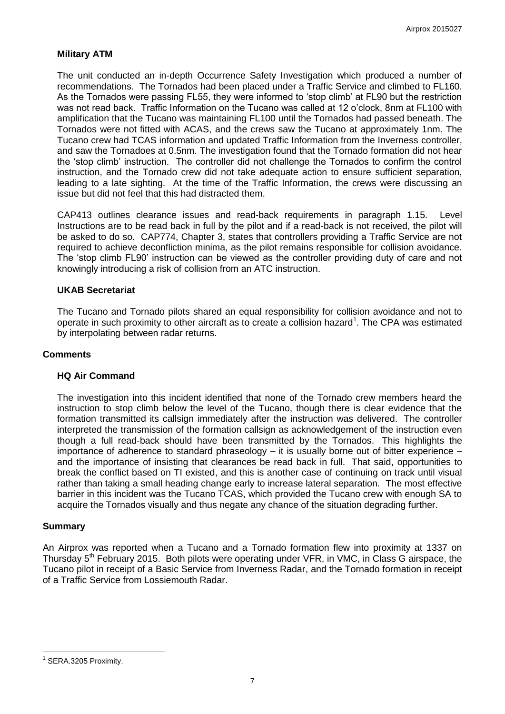### **Military ATM**

The unit conducted an in-depth Occurrence Safety Investigation which produced a number of recommendations. The Tornados had been placed under a Traffic Service and climbed to FL160. As the Tornados were passing FL55, they were informed to 'stop climb' at FL90 but the restriction was not read back. Traffic Information on the Tucano was called at 12 o'clock, 8nm at FL100 with amplification that the Tucano was maintaining FL100 until the Tornados had passed beneath. The Tornados were not fitted with ACAS, and the crews saw the Tucano at approximately 1nm. The Tucano crew had TCAS information and updated Traffic Information from the Inverness controller, and saw the Tornadoes at 0.5nm. The investigation found that the Tornado formation did not hear the 'stop climb' instruction. The controller did not challenge the Tornados to confirm the control instruction, and the Tornado crew did not take adequate action to ensure sufficient separation, leading to a late sighting. At the time of the Traffic Information, the crews were discussing an issue but did not feel that this had distracted them.

CAP413 outlines clearance issues and read-back requirements in paragraph 1.15. Level Instructions are to be read back in full by the pilot and if a read-back is not received, the pilot will be asked to do so. CAP774, Chapter 3, states that controllers providing a Traffic Service are not required to achieve deconfliction minima, as the pilot remains responsible for collision avoidance. The 'stop climb FL90' instruction can be viewed as the controller providing duty of care and not knowingly introducing a risk of collision from an ATC instruction.

#### **UKAB Secretariat**

The Tucano and Tornado pilots shared an equal responsibility for collision avoidance and not to operate in such proximity to other aircraft as to create a collision hazard<sup>1</sup>. The CPA was estimated by interpolating between radar returns.

#### **Comments**

#### **HQ Air Command**

The investigation into this incident identified that none of the Tornado crew members heard the instruction to stop climb below the level of the Tucano, though there is clear evidence that the formation transmitted its callsign immediately after the instruction was delivered. The controller interpreted the transmission of the formation callsign as acknowledgement of the instruction even though a full read-back should have been transmitted by the Tornados. This highlights the importance of adherence to standard phraseology – it is usually borne out of bitter experience – and the importance of insisting that clearances be read back in full. That said, opportunities to break the conflict based on TI existed, and this is another case of continuing on track until visual rather than taking a small heading change early to increase lateral separation. The most effective barrier in this incident was the Tucano TCAS, which provided the Tucano crew with enough SA to acquire the Tornados visually and thus negate any chance of the situation degrading further.

#### **Summary**

An Airprox was reported when a Tucano and a Tornado formation flew into proximity at 1337 on Thursday 5<sup>th</sup> February 2015. Both pilots were operating under VFR, in VMC, in Class G airspace, the Tucano pilot in receipt of a Basic Service from Inverness Radar, and the Tornado formation in receipt of a Traffic Service from Lossiemouth Radar.

 $\overline{a}$ <sup>1</sup> SERA.3205 Proximity.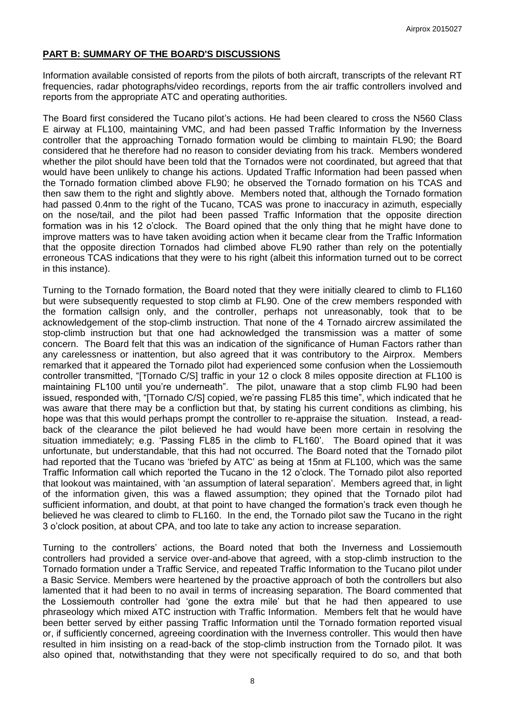## **PART B: SUMMARY OF THE BOARD'S DISCUSSIONS**

Information available consisted of reports from the pilots of both aircraft, transcripts of the relevant RT frequencies, radar photographs/video recordings, reports from the air traffic controllers involved and reports from the appropriate ATC and operating authorities.

The Board first considered the Tucano pilot's actions. He had been cleared to cross the N560 Class E airway at FL100, maintaining VMC, and had been passed Traffic Information by the Inverness controller that the approaching Tornado formation would be climbing to maintain FL90; the Board considered that he therefore had no reason to consider deviating from his track. Members wondered whether the pilot should have been told that the Tornados were not coordinated, but agreed that that would have been unlikely to change his actions. Updated Traffic Information had been passed when the Tornado formation climbed above FL90; he observed the Tornado formation on his TCAS and then saw them to the right and slightly above. Members noted that, although the Tornado formation had passed 0.4nm to the right of the Tucano, TCAS was prone to inaccuracy in azimuth, especially on the nose/tail, and the pilot had been passed Traffic Information that the opposite direction formation was in his 12 o'clock. The Board opined that the only thing that he might have done to improve matters was to have taken avoiding action when it became clear from the Traffic Information that the opposite direction Tornados had climbed above FL90 rather than rely on the potentially erroneous TCAS indications that they were to his right (albeit this information turned out to be correct in this instance).

Turning to the Tornado formation, the Board noted that they were initially cleared to climb to FL160 but were subsequently requested to stop climb at FL90. One of the crew members responded with the formation callsign only, and the controller, perhaps not unreasonably, took that to be acknowledgement of the stop-climb instruction. That none of the 4 Tornado aircrew assimilated the stop-climb instruction but that one had acknowledged the transmission was a matter of some concern. The Board felt that this was an indication of the significance of Human Factors rather than any carelessness or inattention, but also agreed that it was contributory to the Airprox. Members remarked that it appeared the Tornado pilot had experienced some confusion when the Lossiemouth controller transmitted, "[Tornado C/S] traffic in your 12 o clock 8 miles opposite direction at FL100 is maintaining FL100 until you're underneath". The pilot, unaware that a stop climb FL90 had been issued, responded with, "[Tornado C/S] copied, we're passing FL85 this time", which indicated that he was aware that there may be a confliction but that, by stating his current conditions as climbing, his hope was that this would perhaps prompt the controller to re-appraise the situation. Instead, a readback of the clearance the pilot believed he had would have been more certain in resolving the situation immediately; e.g. 'Passing FL85 in the climb to FL160'. The Board opined that it was unfortunate, but understandable, that this had not occurred. The Board noted that the Tornado pilot had reported that the Tucano was 'briefed by ATC' as being at 15nm at FL100, which was the same Traffic Information call which reported the Tucano in the 12 o'clock. The Tornado pilot also reported that lookout was maintained, with 'an assumption of lateral separation'. Members agreed that, in light of the information given, this was a flawed assumption; they opined that the Tornado pilot had sufficient information, and doubt, at that point to have changed the formation's track even though he believed he was cleared to climb to FL160. In the end, the Tornado pilot saw the Tucano in the right 3 o'clock position, at about CPA, and too late to take any action to increase separation.

Turning to the controllers' actions, the Board noted that both the Inverness and Lossiemouth controllers had provided a service over-and-above that agreed, with a stop-climb instruction to the Tornado formation under a Traffic Service, and repeated Traffic Information to the Tucano pilot under a Basic Service. Members were heartened by the proactive approach of both the controllers but also lamented that it had been to no avail in terms of increasing separation. The Board commented that the Lossiemouth controller had 'gone the extra mile' but that he had then appeared to use phraseology which mixed ATC instruction with Traffic Information. Members felt that he would have been better served by either passing Traffic Information until the Tornado formation reported visual or, if sufficiently concerned, agreeing coordination with the Inverness controller. This would then have resulted in him insisting on a read-back of the stop-climb instruction from the Tornado pilot. It was also opined that, notwithstanding that they were not specifically required to do so, and that both